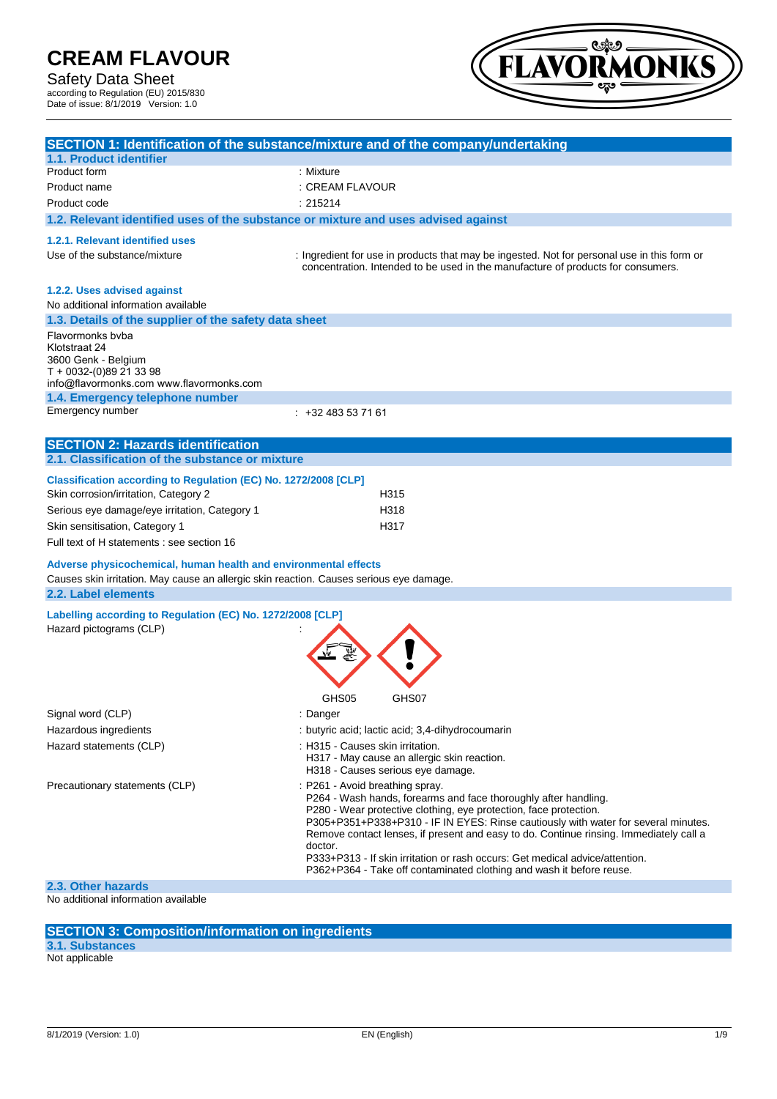### Safety Data Sheet

according to Regulation (EU) 2015/830 Date of issue: 8/1/2019 Version: 1.0



|                                                                                                                                 | SECTION 1: Identification of the substance/mixture and of the company/undertaking                                                                                                                                                                                                                                                                                                                                                                                                                                          |
|---------------------------------------------------------------------------------------------------------------------------------|----------------------------------------------------------------------------------------------------------------------------------------------------------------------------------------------------------------------------------------------------------------------------------------------------------------------------------------------------------------------------------------------------------------------------------------------------------------------------------------------------------------------------|
| 1.1. Product identifier                                                                                                         |                                                                                                                                                                                                                                                                                                                                                                                                                                                                                                                            |
| Product form                                                                                                                    | : Mixture                                                                                                                                                                                                                                                                                                                                                                                                                                                                                                                  |
| Product name                                                                                                                    | : CREAM FLAVOUR                                                                                                                                                                                                                                                                                                                                                                                                                                                                                                            |
| Product code                                                                                                                    | : 215214                                                                                                                                                                                                                                                                                                                                                                                                                                                                                                                   |
| 1.2. Relevant identified uses of the substance or mixture and uses advised against                                              |                                                                                                                                                                                                                                                                                                                                                                                                                                                                                                                            |
| 1.2.1. Relevant identified uses                                                                                                 |                                                                                                                                                                                                                                                                                                                                                                                                                                                                                                                            |
| Use of the substance/mixture                                                                                                    | : Ingredient for use in products that may be ingested. Not for personal use in this form or<br>concentration. Intended to be used in the manufacture of products for consumers.                                                                                                                                                                                                                                                                                                                                            |
| 1.2.2. Uses advised against                                                                                                     |                                                                                                                                                                                                                                                                                                                                                                                                                                                                                                                            |
| No additional information available                                                                                             |                                                                                                                                                                                                                                                                                                                                                                                                                                                                                                                            |
| 1.3. Details of the supplier of the safety data sheet                                                                           |                                                                                                                                                                                                                                                                                                                                                                                                                                                                                                                            |
| Flavormonks byba<br>Klotstraat 24<br>3600 Genk - Belgium<br>T + 0032-(0)89 21 33 98<br>info@flavormonks.com www.flavormonks.com |                                                                                                                                                                                                                                                                                                                                                                                                                                                                                                                            |
| 1.4. Emergency telephone number                                                                                                 |                                                                                                                                                                                                                                                                                                                                                                                                                                                                                                                            |
| Emergency number                                                                                                                | $: +32483537161$                                                                                                                                                                                                                                                                                                                                                                                                                                                                                                           |
|                                                                                                                                 |                                                                                                                                                                                                                                                                                                                                                                                                                                                                                                                            |
| <b>SECTION 2: Hazards identification</b><br>2.1. Classification of the substance or mixture                                     |                                                                                                                                                                                                                                                                                                                                                                                                                                                                                                                            |
|                                                                                                                                 |                                                                                                                                                                                                                                                                                                                                                                                                                                                                                                                            |
| Classification according to Regulation (EC) No. 1272/2008 [CLP]                                                                 |                                                                                                                                                                                                                                                                                                                                                                                                                                                                                                                            |
| Skin corrosion/irritation, Category 2                                                                                           | H315                                                                                                                                                                                                                                                                                                                                                                                                                                                                                                                       |
| Serious eye damage/eye irritation, Category 1                                                                                   | H318                                                                                                                                                                                                                                                                                                                                                                                                                                                                                                                       |
| Skin sensitisation, Category 1                                                                                                  | H317                                                                                                                                                                                                                                                                                                                                                                                                                                                                                                                       |
| Full text of H statements : see section 16                                                                                      |                                                                                                                                                                                                                                                                                                                                                                                                                                                                                                                            |
| Adverse physicochemical, human health and environmental effects                                                                 |                                                                                                                                                                                                                                                                                                                                                                                                                                                                                                                            |
| Causes skin irritation. May cause an allergic skin reaction. Causes serious eye damage.<br>2.2. Label elements                  |                                                                                                                                                                                                                                                                                                                                                                                                                                                                                                                            |
| Labelling according to Regulation (EC) No. 1272/2008 [CLP]                                                                      |                                                                                                                                                                                                                                                                                                                                                                                                                                                                                                                            |
| Hazard pictograms (CLP)                                                                                                         |                                                                                                                                                                                                                                                                                                                                                                                                                                                                                                                            |
|                                                                                                                                 | GHS07<br>GHS05                                                                                                                                                                                                                                                                                                                                                                                                                                                                                                             |
| Signal word (CLP)                                                                                                               | : Danger                                                                                                                                                                                                                                                                                                                                                                                                                                                                                                                   |
| Hazardous ingredients                                                                                                           | : butyric acid; lactic acid; 3,4-dihydrocoumarin                                                                                                                                                                                                                                                                                                                                                                                                                                                                           |
| Hazard statements (CLP)                                                                                                         | : H315 - Causes skin irritation.<br>H317 - May cause an allergic skin reaction.<br>H318 - Causes serious eye damage.                                                                                                                                                                                                                                                                                                                                                                                                       |
| Precautionary statements (CLP)                                                                                                  | : P261 - Avoid breathing spray.<br>P264 - Wash hands, forearms and face thoroughly after handling.<br>P280 - Wear protective clothing, eye protection, face protection.<br>P305+P351+P338+P310 - IF IN EYES: Rinse cautiously with water for several minutes.<br>Remove contact lenses, if present and easy to do. Continue rinsing. Immediately call a<br>doctor.<br>P333+P313 - If skin irritation or rash occurs: Get medical advice/attention.<br>P362+P364 - Take off contaminated clothing and wash it before reuse. |
| 2.3. Other hazards                                                                                                              |                                                                                                                                                                                                                                                                                                                                                                                                                                                                                                                            |

No additional information available

#### **SECTION 3: Composition/information on ingredients**

**3.1. Substances**

Not applicable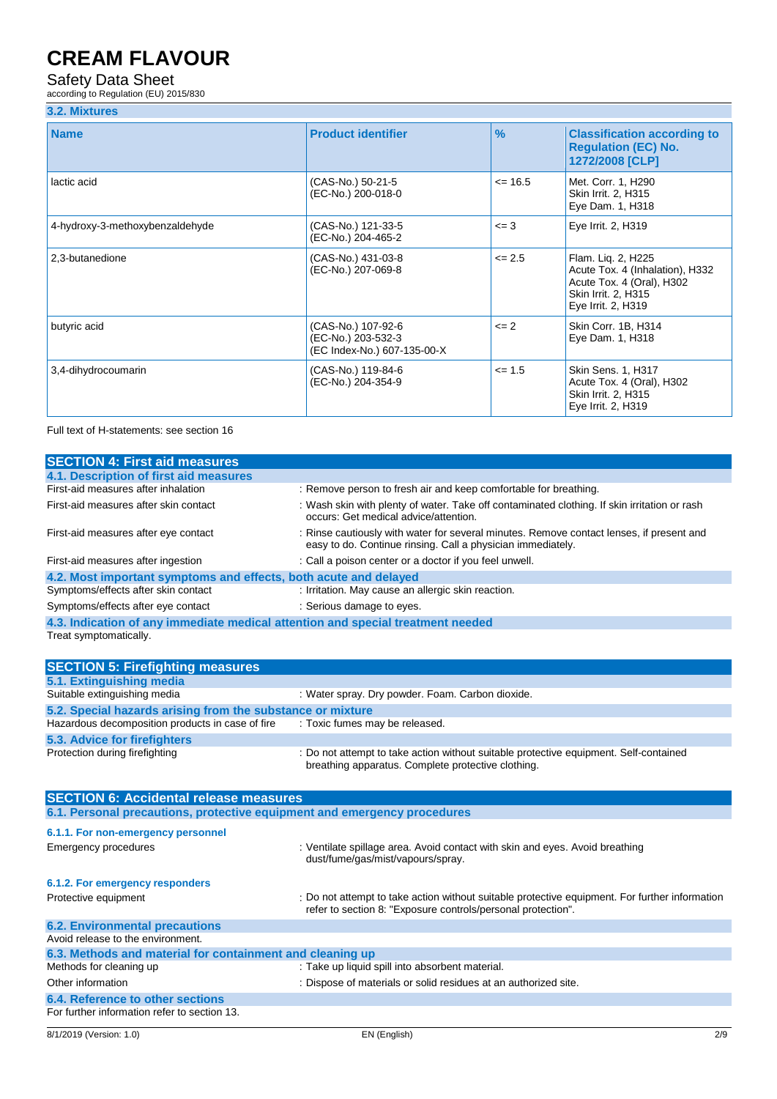### Safety Data Sheet

according to Regulation (EU) 2015/830

|  |  | 3.2. Mixtures |  |
|--|--|---------------|--|
|--|--|---------------|--|

| <b>Name</b>                     | <b>Product identifier</b>                                               | $\frac{9}{6}$ | <b>Classification according to</b><br><b>Regulation (EC) No.</b><br>1272/2008 [CLP]                                             |
|---------------------------------|-------------------------------------------------------------------------|---------------|---------------------------------------------------------------------------------------------------------------------------------|
| lactic acid                     | (CAS-No.) 50-21-5<br>(EC-No.) 200-018-0                                 | $\leq$ 16.5   | Met. Corr. 1, H290<br>Skin Irrit. 2, H315<br>Eye Dam. 1, H318                                                                   |
| 4-hydroxy-3-methoxybenzaldehyde | (CAS-No.) 121-33-5<br>(EC-No.) 204-465-2                                | $\leq$ 3      | Eye Irrit. 2, H319                                                                                                              |
| 2,3-butanedione                 | (CAS-No.) 431-03-8<br>(EC-No.) 207-069-8                                | $\leq$ 2.5    | Flam. Lig. 2, H225<br>Acute Tox. 4 (Inhalation), H332<br>Acute Tox. 4 (Oral), H302<br>Skin Irrit. 2, H315<br>Eye Irrit. 2, H319 |
| butyric acid                    | (CAS-No.) 107-92-6<br>(EC-No.) 203-532-3<br>(EC Index-No.) 607-135-00-X | $\leq$ 2      | Skin Corr. 1B, H314<br>Eye Dam. 1, H318                                                                                         |
| 3,4-dihydrocoumarin             | (CAS-No.) 119-84-6<br>(EC-No.) 204-354-9                                | $\leq$ 1.5    | Skin Sens. 1, H317<br>Acute Tox. 4 (Oral), H302<br>Skin Irrit. 2, H315<br>Eye Irrit. 2, H319                                    |

Full text of H-statements: see section 16

| <b>SECTION 4: First aid measures</b>                                            |                                                                                                                                                                |
|---------------------------------------------------------------------------------|----------------------------------------------------------------------------------------------------------------------------------------------------------------|
| 4.1. Description of first aid measures                                          |                                                                                                                                                                |
| First-aid measures after inhalation                                             | : Remove person to fresh air and keep comfortable for breathing.                                                                                               |
| First-aid measures after skin contact                                           | : Wash skin with plenty of water. Take off contaminated clothing. If skin irritation or rash<br>occurs: Get medical advice/attention.                          |
| First-aid measures after eye contact                                            | : Rinse cautiously with water for several minutes. Remove contact lenses, if present and<br>easy to do. Continue rinsing. Call a physician immediately.        |
| First-aid measures after ingestion                                              | : Call a poison center or a doctor if you feel unwell.                                                                                                         |
| 4.2. Most important symptoms and effects, both acute and delayed                |                                                                                                                                                                |
| Symptoms/effects after skin contact                                             | : Irritation. May cause an allergic skin reaction.                                                                                                             |
| Symptoms/effects after eye contact                                              | : Serious damage to eyes.                                                                                                                                      |
| 4.3. Indication of any immediate medical attention and special treatment needed |                                                                                                                                                                |
| Treat symptomatically.                                                          |                                                                                                                                                                |
| <b>SECTION 5: Firefighting measures</b>                                         |                                                                                                                                                                |
| 5.1. Extinguishing media                                                        |                                                                                                                                                                |
| Suitable extinguishing media                                                    | : Water spray. Dry powder. Foam. Carbon dioxide.                                                                                                               |
| 5.2. Special hazards arising from the substance or mixture                      |                                                                                                                                                                |
| Hazardous decomposition products in case of fire                                | : Toxic fumes may be released.                                                                                                                                 |
| 5.3. Advice for firefighters                                                    |                                                                                                                                                                |
| Protection during firefighting                                                  | : Do not attempt to take action without suitable protective equipment. Self-contained<br>breathing apparatus. Complete protective clothing.                    |
| <b>SECTION 6: Accidental release measures</b>                                   |                                                                                                                                                                |
| 6.1. Personal precautions, protective equipment and emergency procedures        |                                                                                                                                                                |
| 6.1.1. For non-emergency personnel                                              |                                                                                                                                                                |
| <b>Emergency procedures</b>                                                     | : Ventilate spillage area. Avoid contact with skin and eyes. Avoid breathing<br>dust/fume/gas/mist/vapours/spray.                                              |
| 6.1.2. For emergency responders                                                 |                                                                                                                                                                |
| Protective equipment                                                            | : Do not attempt to take action without suitable protective equipment. For further information<br>refer to section 8: "Exposure controls/personal protection". |
| <b>6.2. Environmental precautions</b>                                           |                                                                                                                                                                |
| Avoid release to the environment.                                               |                                                                                                                                                                |
| 6.3. Methods and material for containment and cleaning up                       |                                                                                                                                                                |
| Methods for cleaning up                                                         | : Take up liquid spill into absorbent material.                                                                                                                |
| Other information                                                               | : Dispose of materials or solid residues at an authorized site.                                                                                                |
| 6.4. Reference to other sections                                                |                                                                                                                                                                |
| For further information refer to section 13.                                    |                                                                                                                                                                |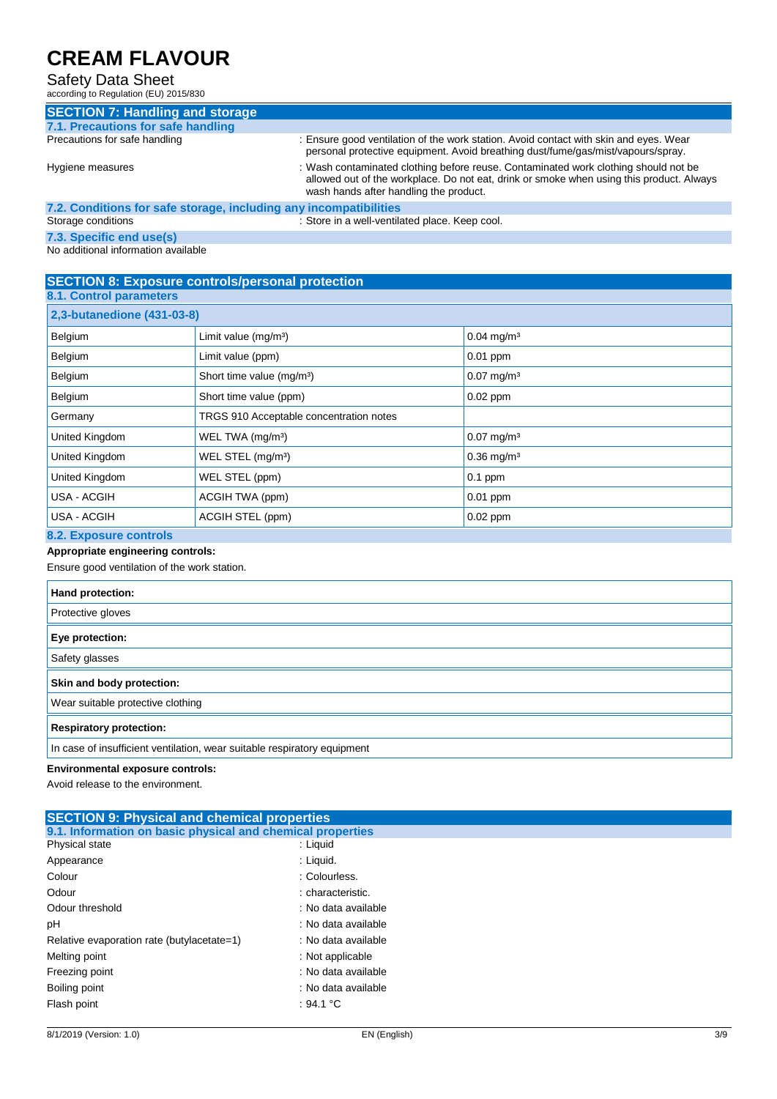#### Safety Data Sheet

according to Regulation (EU) 2015/830

| $100001$ and $101000$ and $10100$ $10000$                         |                                                                                                                                                                                                                           |  |  |
|-------------------------------------------------------------------|---------------------------------------------------------------------------------------------------------------------------------------------------------------------------------------------------------------------------|--|--|
| <b>SECTION 7: Handling and storage</b>                            |                                                                                                                                                                                                                           |  |  |
| 7.1. Precautions for safe handling                                |                                                                                                                                                                                                                           |  |  |
| Precautions for safe handling                                     | : Ensure good ventilation of the work station. Avoid contact with skin and eyes. Wear<br>personal protective equipment. Avoid breathing dust/fume/gas/mist/vapours/spray.                                                 |  |  |
| Hygiene measures                                                  | : Wash contaminated clothing before reuse. Contaminated work clothing should not be<br>allowed out of the workplace. Do not eat, drink or smoke when using this product. Always<br>wash hands after handling the product. |  |  |
| 7.2. Conditions for safe storage, including any incompatibilities |                                                                                                                                                                                                                           |  |  |
| Storage conditions                                                | : Store in a well-ventilated place. Keep cool.                                                                                                                                                                            |  |  |
|                                                                   |                                                                                                                                                                                                                           |  |  |

#### **7.3. Specific end use(s)**

No additional information available

### **SECTION 8: Exposure controls/personal protection**

| 8.1. Control parameters    |                                         |                          |  |
|----------------------------|-----------------------------------------|--------------------------|--|
| 2,3-butanedione (431-03-8) |                                         |                          |  |
| Belgium                    | Limit value $(mg/m3)$                   | $0.04$ mg/m <sup>3</sup> |  |
| Belgium                    | Limit value (ppm)                       | $0.01$ ppm               |  |
| Belgium                    | Short time value (mg/m <sup>3</sup> )   | $0.07$ mg/m <sup>3</sup> |  |
| Belgium                    | Short time value (ppm)                  | $0.02$ ppm               |  |
| Germany                    | TRGS 910 Acceptable concentration notes |                          |  |
| United Kingdom             | WEL TWA (mg/m <sup>3</sup> )            | $0.07$ mg/m <sup>3</sup> |  |
| United Kingdom             | WEL STEL (mg/m <sup>3</sup> )           | $0.36$ mg/m <sup>3</sup> |  |
| United Kingdom             | WEL STEL (ppm)                          | $0.1$ ppm                |  |
| USA - ACGIH                | ACGIH TWA (ppm)                         | $0.01$ ppm               |  |
| USA - ACGIH                | ACGIH STEL (ppm)                        | $0.02$ ppm               |  |

#### **8.2. Exposure controls**

### **Appropriate engineering controls:**

Ensure good ventilation of the work station.

| Hand protection:                                                         |  |  |
|--------------------------------------------------------------------------|--|--|
| Protective gloves                                                        |  |  |
| Eye protection:                                                          |  |  |
| Safety glasses                                                           |  |  |
| Skin and body protection:                                                |  |  |
| Wear suitable protective clothing                                        |  |  |
| <b>Respiratory protection:</b>                                           |  |  |
| In case of insufficient ventilation, wear suitable respiratory equipment |  |  |

#### **Environmental exposure controls:**

Avoid release to the environment.

| <b>SECTION 9: Physical and chemical properties</b>         |                     |  |
|------------------------------------------------------------|---------------------|--|
| 9.1. Information on basic physical and chemical properties |                     |  |
| Physical state                                             | : Liquid            |  |
| Appearance                                                 | : Liquid.           |  |
| Colour                                                     | : Colourless.       |  |
| Odour                                                      | : characteristic.   |  |
| Odour threshold                                            | : No data available |  |
| рH                                                         | : No data available |  |
| Relative evaporation rate (butylacetate=1)                 | : No data available |  |
| Melting point                                              | : Not applicable    |  |
| Freezing point                                             | : No data available |  |
| Boiling point                                              | : No data available |  |
| Flash point                                                | : 94.1 °C           |  |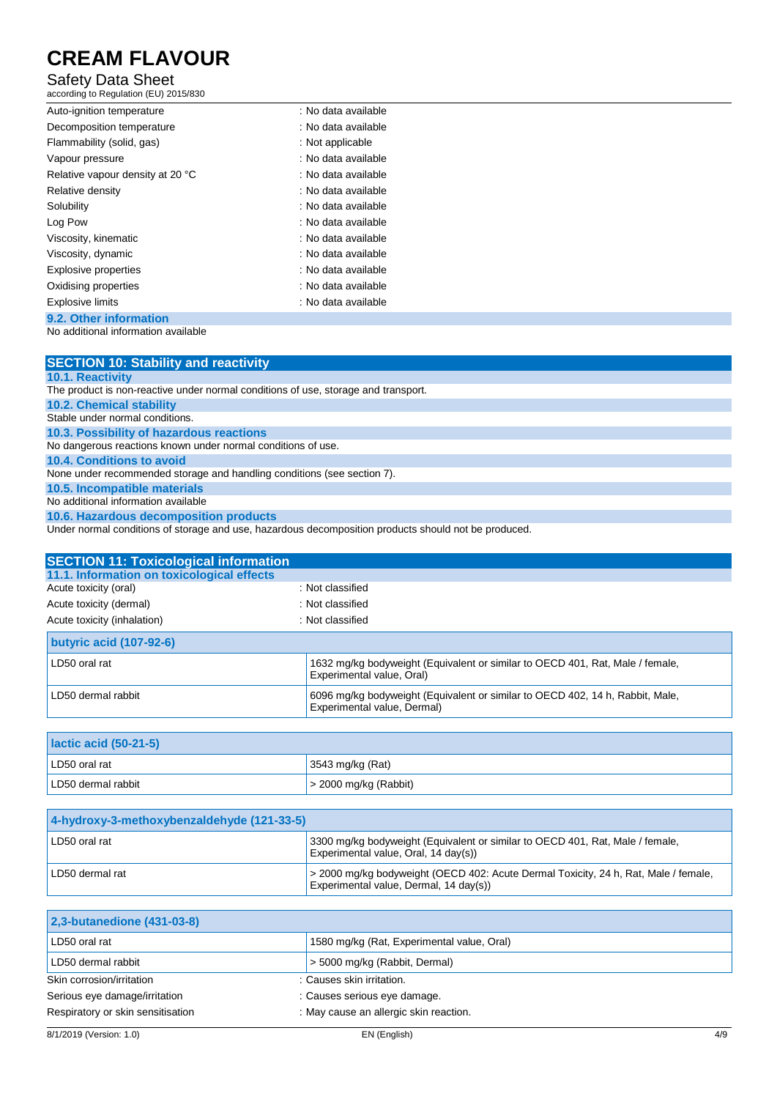### Safety Data Sheet

according to Regulation (EU) 2015/830

| Auto-ignition temperature        | : No data available |  |
|----------------------------------|---------------------|--|
| Decomposition temperature        | : No data available |  |
| Flammability (solid, gas)        | : Not applicable    |  |
| Vapour pressure                  | : No data available |  |
| Relative vapour density at 20 °C | : No data available |  |
| Relative density                 | : No data available |  |
| Solubility                       | : No data available |  |
| Log Pow                          | : No data available |  |
| Viscosity, kinematic             | : No data available |  |
| Viscosity, dynamic               | : No data available |  |
| <b>Explosive properties</b>      | : No data available |  |
| Oxidising properties             | : No data available |  |
| <b>Explosive limits</b>          | : No data available |  |
| 9.2. Other information           |                     |  |

No additional information available

| <b>SECTION 10: Stability and reactivity</b>                                        |
|------------------------------------------------------------------------------------|
| <b>10.1. Reactivity</b>                                                            |
| The product is non-reactive under normal conditions of use, storage and transport. |
| <b>10.2. Chemical stability</b>                                                    |
| Stable under normal conditions.                                                    |
| 10.3. Possibility of hazardous reactions                                           |
| No dangerous reactions known under normal conditions of use.                       |
| 10.4. Conditions to avoid                                                          |
| None under recommended storage and handling conditions (see section 7).            |
| 10.5. Incompatible materials                                                       |
| No additional information available                                                |

**10.6. Hazardous decomposition products**

Under normal conditions of storage and use, hazardous decomposition products should not be produced.

| <b>SECTION 11: Toxicological information</b> |                                                                                                              |
|----------------------------------------------|--------------------------------------------------------------------------------------------------------------|
| 11.1. Information on toxicological effects   |                                                                                                              |
| Acute toxicity (oral)                        | : Not classified                                                                                             |
| Acute toxicity (dermal)                      | : Not classified                                                                                             |
| Acute toxicity (inhalation)                  | : Not classified                                                                                             |
| <b>butyric acid (107-92-6)</b>               |                                                                                                              |
| LD50 oral rat                                | 1632 mg/kg bodyweight (Equivalent or similar to OECD 401, Rat, Male / female,<br>Experimental value, Oral)   |
| LD50 dermal rabbit                           | 6096 mg/kg bodyweight (Equivalent or similar to OECD 402, 14 h, Rabbit, Male,<br>Experimental value, Dermal) |

| <b>Iactic acid (50-21-5)</b> |                               |
|------------------------------|-------------------------------|
| LD50 oral rat                | 3543 mg/kg (Rat)              |
| LD50 dermal rabbit           | $\vert$ > 2000 mg/kg (Rabbit) |

| 4-hydroxy-3-methoxybenzaldehyde (121-33-5) |                                                                                                                               |
|--------------------------------------------|-------------------------------------------------------------------------------------------------------------------------------|
| LD50 oral rat                              | 3300 mg/kg bodyweight (Equivalent or similar to OECD 401, Rat, Male / female,<br>Experimental value, Oral, 14 day(s))         |
| LD50 dermal rat                            | > 2000 mg/kg bodyweight (OECD 402: Acute Dermal Toxicity, 24 h, Rat, Male / female,<br>Experimental value, Dermal, 14 day(s)) |

| 2,3-butanedione (431-03-8)        |                                            |
|-----------------------------------|--------------------------------------------|
| LD50 oral rat                     | 1580 mg/kg (Rat, Experimental value, Oral) |
| LD50 dermal rabbit                | > 5000 mg/kg (Rabbit, Dermal)              |
| Skin corrosion/irritation         | : Causes skin irritation.                  |
| Serious eye damage/irritation     | : Causes serious eye damage.               |
| Respiratory or skin sensitisation | : May cause an allergic skin reaction.     |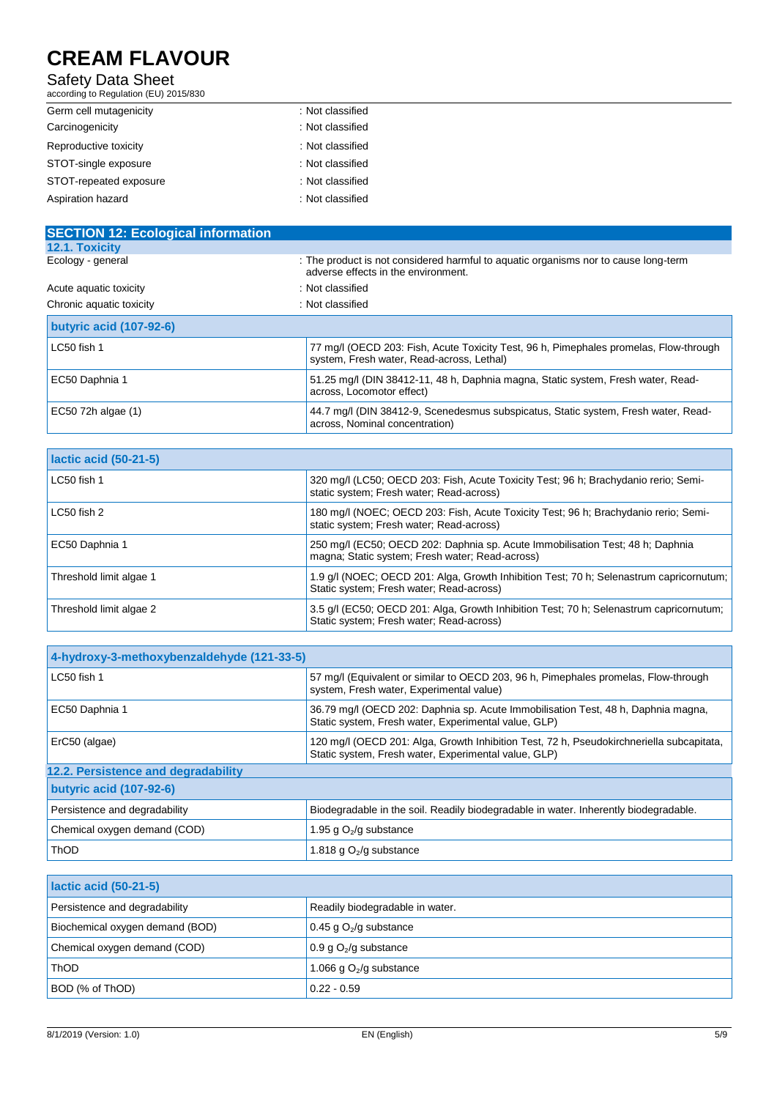#### Safety Data Sheet

according to Regulation (EU) 2015/830

| Germ cell mutagenicity | : Not classified |  |
|------------------------|------------------|--|
| Carcinogenicity        | : Not classified |  |
| Reproductive toxicity  | : Not classified |  |
| STOT-single exposure   | : Not classified |  |
| STOT-repeated exposure | : Not classified |  |
| Aspiration hazard      | : Not classified |  |
|                        |                  |  |

| <b>SECTION 12: Ecological information</b> |                                                                                                                                    |  |
|-------------------------------------------|------------------------------------------------------------------------------------------------------------------------------------|--|
| 12.1. Toxicity                            |                                                                                                                                    |  |
| Ecology - general                         | : The product is not considered harmful to aquatic organisms nor to cause long-term<br>adverse effects in the environment.         |  |
| Acute aquatic toxicity                    | : Not classified                                                                                                                   |  |
| Chronic aquatic toxicity                  | : Not classified                                                                                                                   |  |
| butyric acid (107-92-6)                   |                                                                                                                                    |  |
| LC50 fish 1                               | 77 mg/l (OECD 203: Fish, Acute Toxicity Test, 96 h, Pimephales promelas, Flow-through<br>system, Fresh water, Read-across, Lethal) |  |
| EC50 Daphnia 1                            | 51.25 mg/l (DIN 38412-11, 48 h, Daphnia magna, Static system, Fresh water, Read-<br>across, Locomotor effect)                      |  |
| EC50 72h algae (1)                        | 44.7 mg/l (DIN 38412-9, Scenedesmus subspicatus, Static system, Fresh water, Read-<br>across, Nominal concentration)               |  |

| lactic acid (50-21-5)   |                                                                                                                                     |
|-------------------------|-------------------------------------------------------------------------------------------------------------------------------------|
| LC50 fish 1             | 320 mg/l (LC50; OECD 203: Fish, Acute Toxicity Test; 96 h; Brachydanio rerio; Semi-<br>static system; Fresh water; Read-across)     |
| LC50 fish 2             | 180 mg/l (NOEC; OECD 203: Fish, Acute Toxicity Test; 96 h; Brachydanio rerio; Semi-<br>static system; Fresh water; Read-across)     |
| EC50 Daphnia 1          | 250 mg/l (EC50; OECD 202: Daphnia sp. Acute Immobilisation Test; 48 h; Daphnia<br>magna; Static system; Fresh water; Read-across)   |
| Threshold limit algae 1 | 1.9 g/l (NOEC; OECD 201: Alga, Growth Inhibition Test; 70 h; Selenastrum capricornutum;<br>Static system; Fresh water; Read-across) |
| Threshold limit algae 2 | 3.5 g/l (EC50; OECD 201: Alga, Growth Inhibition Test; 70 h; Selenastrum capricornutum;<br>Static system; Fresh water; Read-across) |

| 4-hydroxy-3-methoxybenzaldehyde (121-33-5) |                                                                                                                                                  |  |
|--------------------------------------------|--------------------------------------------------------------------------------------------------------------------------------------------------|--|
| LC50 fish 1                                | 57 mg/l (Equivalent or similar to OECD 203, 96 h, Pimephales promelas, Flow-through<br>system, Fresh water, Experimental value)                  |  |
| EC50 Daphnia 1                             | 36.79 mg/l (OECD 202: Daphnia sp. Acute Immobilisation Test, 48 h, Daphnia magna,<br>Static system, Fresh water, Experimental value, GLP)        |  |
| ErC50 (algae)                              | 120 mg/l (OECD 201: Alga, Growth Inhibition Test, 72 h, Pseudokirchneriella subcapitata,<br>Static system, Fresh water, Experimental value, GLP) |  |
| 12.2. Persistence and degradability        |                                                                                                                                                  |  |
| butyric acid (107-92-6)                    |                                                                                                                                                  |  |
| Persistence and degradability              | Biodegradable in the soil. Readily biodegradable in water. Inherently biodegradable.                                                             |  |
| Chemical oxygen demand (COD)               | 1.95 g $O_2$ /g substance                                                                                                                        |  |
| <b>ThOD</b>                                | 1.818 g $O2/g$ substance                                                                                                                         |  |

| <b>Iactic acid (50-21-5)</b>    |                                 |
|---------------------------------|---------------------------------|
| Persistence and degradability   | Readily biodegradable in water. |
| Biochemical oxygen demand (BOD) | 0.45 g $O_2$ /g substance       |
| Chemical oxygen demand (COD)    | 0.9 g $O_2$ /g substance        |
| <b>ThOD</b>                     | 1.066 g $O_2$ /g substance      |
| BOD (% of ThOD)                 | $0.22 - 0.59$                   |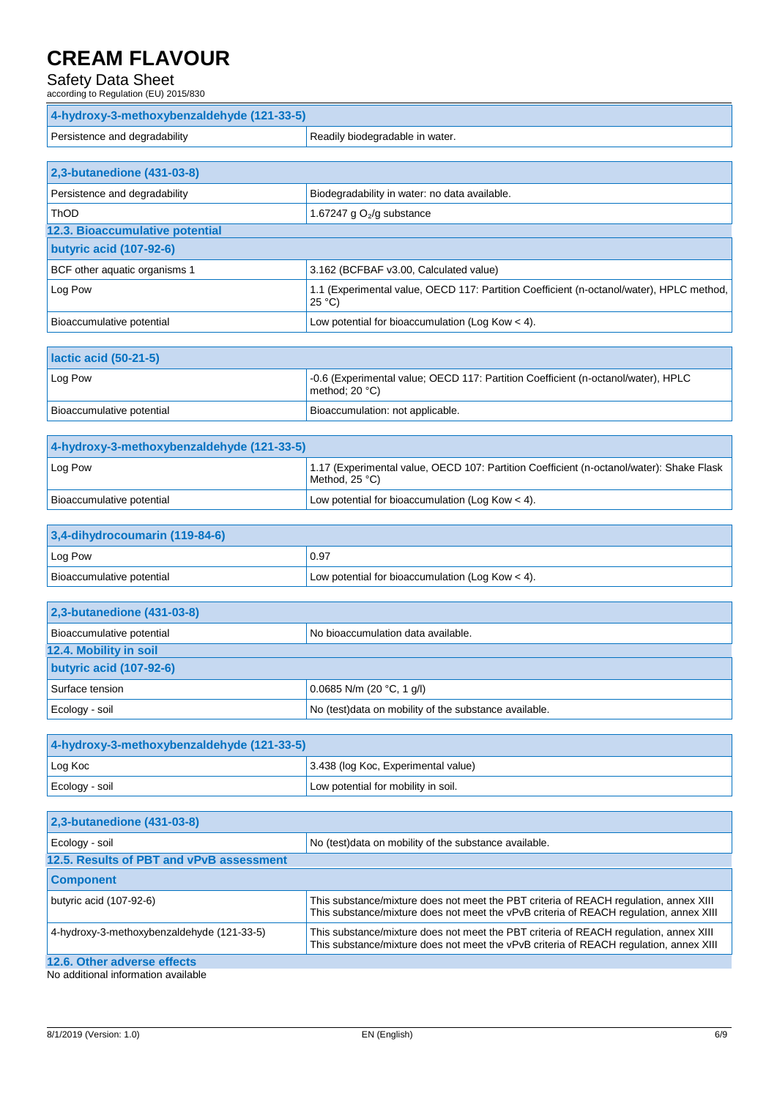### Safety Data Sheet

| according to Regulation (EU) 2015/830      |                                                                                                             |
|--------------------------------------------|-------------------------------------------------------------------------------------------------------------|
| 4-hydroxy-3-methoxybenzaldehyde (121-33-5) |                                                                                                             |
| Persistence and degradability              | Readily biodegradable in water.                                                                             |
|                                            |                                                                                                             |
| 2,3-butanedione (431-03-8)                 |                                                                                                             |
| Persistence and degradability              | Biodegradability in water: no data available.                                                               |
| <b>ThOD</b>                                | 1.67247 g $O2/g$ substance                                                                                  |
| 12.3. Bioaccumulative potential            |                                                                                                             |
| <b>butyric acid (107-92-6)</b>             |                                                                                                             |
| BCF other aquatic organisms 1              | 3.162 (BCFBAF v3.00, Calculated value)                                                                      |
| Log Pow                                    | 1.1 (Experimental value, OECD 117: Partition Coefficient (n-octanol/water), HPLC method,<br>$25^{\circ}$ C) |
| Bioaccumulative potential                  | Low potential for bioaccumulation (Log Kow $<$ 4).                                                          |
|                                            |                                                                                                             |
| lactic acid (50-21-5)                      |                                                                                                             |
| Log Pow                                    | -0.6 (Experimental value; OECD 117: Partition Coefficient (n-octanol/water), HPLC<br>method; $20 °C$ )      |
| Bioaccumulative potential                  | Bioaccumulation: not applicable.                                                                            |

| 4-hydroxy-3-methoxybenzaldehyde (121-33-5) |                                                                                                            |
|--------------------------------------------|------------------------------------------------------------------------------------------------------------|
| Log Pow                                    | 1.17 (Experimental value, OECD 107: Partition Coefficient (n-octanol/water): Shake Flask<br>Method, 25 °C) |
| Bioaccumulative potential                  | Low potential for bioaccumulation (Log Kow $<$ 4).                                                         |

| $3,4$ -dihydrocoumarin (119-84-6) |                                                    |
|-----------------------------------|----------------------------------------------------|
| Log Pow                           | 0.97                                               |
| Bioaccumulative potential         | Low potential for bioaccumulation (Log Kow $<$ 4). |

| 2,3-butanedione (431-03-8)     |                                                        |  |
|--------------------------------|--------------------------------------------------------|--|
| Bioaccumulative potential      | No bioaccumulation data available.                     |  |
| 12.4. Mobility in soil         |                                                        |  |
| <b>butyric acid (107-92-6)</b> |                                                        |  |
| Surface tension                | $0.0685$ N/m (20 °C, 1 g/l)                            |  |
| Ecology - soil                 | No (test) data on mobility of the substance available. |  |

| 4-hydroxy-3-methoxybenzaldehyde (121-33-5) |                                     |
|--------------------------------------------|-------------------------------------|
| Log Koc                                    | 3.438 (log Koc, Experimental value) |
| Ecology - soil                             | Low potential for mobility in soil. |

| 2,3-butanedione (431-03-8)                 |                                                                                                                                                                                 |  |
|--------------------------------------------|---------------------------------------------------------------------------------------------------------------------------------------------------------------------------------|--|
| Ecology - soil                             | No (test) data on mobility of the substance available.                                                                                                                          |  |
| 12.5. Results of PBT and vPvB assessment   |                                                                                                                                                                                 |  |
| <b>Component</b>                           |                                                                                                                                                                                 |  |
| butyric acid (107-92-6)                    | This substance/mixture does not meet the PBT criteria of REACH regulation, annex XIII<br>This substance/mixture does not meet the vPvB criteria of REACH regulation, annex XIII |  |
| 4-hydroxy-3-methoxybenzaldehyde (121-33-5) | This substance/mixture does not meet the PBT criteria of REACH regulation, annex XIII<br>This substance/mixture does not meet the vPvB criteria of REACH regulation, annex XIII |  |
| 12.6. Other adverse effects                |                                                                                                                                                                                 |  |
| No additional information available        |                                                                                                                                                                                 |  |

No additional information available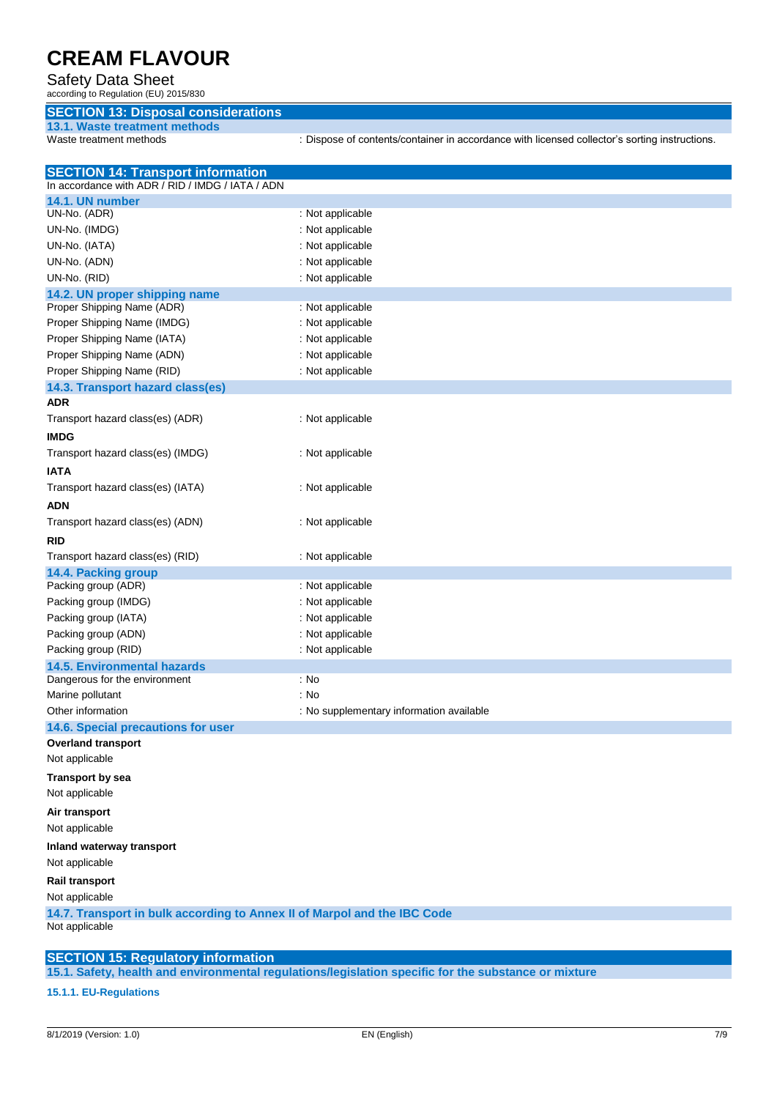### Safety Data Sheet

according to Regulation (EU) 2015/830

### **SECTION 13: Disposal considerations**

**13.1. Waste treatment methods**

: Dispose of contents/container in accordance with licensed collector's sorting instructions.

| <b>SECTION 14: Transport information</b>                                 |                                          |  |
|--------------------------------------------------------------------------|------------------------------------------|--|
| In accordance with ADR / RID / IMDG / IATA / ADN                         |                                          |  |
| 14.1. UN number                                                          |                                          |  |
| UN-No. (ADR)                                                             | : Not applicable                         |  |
| UN-No. (IMDG)                                                            | : Not applicable                         |  |
| UN-No. (IATA)                                                            | : Not applicable                         |  |
| UN-No. (ADN)                                                             | : Not applicable                         |  |
| UN-No. (RID)                                                             | : Not applicable                         |  |
| 14.2. UN proper shipping name                                            |                                          |  |
| Proper Shipping Name (ADR)                                               | : Not applicable                         |  |
| Proper Shipping Name (IMDG)                                              | : Not applicable                         |  |
| Proper Shipping Name (IATA)                                              | : Not applicable                         |  |
| Proper Shipping Name (ADN)                                               | : Not applicable                         |  |
| Proper Shipping Name (RID)                                               | : Not applicable                         |  |
| 14.3. Transport hazard class(es)                                         |                                          |  |
| <b>ADR</b>                                                               |                                          |  |
| Transport hazard class(es) (ADR)                                         | : Not applicable                         |  |
| <b>IMDG</b>                                                              |                                          |  |
| Transport hazard class(es) (IMDG)                                        | : Not applicable                         |  |
| IATA                                                                     |                                          |  |
| Transport hazard class(es) (IATA)                                        | : Not applicable                         |  |
| ADN                                                                      |                                          |  |
| Transport hazard class(es) (ADN)                                         | : Not applicable                         |  |
| rid                                                                      |                                          |  |
| Transport hazard class(es) (RID)                                         | : Not applicable                         |  |
| 14.4. Packing group                                                      |                                          |  |
| Packing group (ADR)                                                      | : Not applicable                         |  |
| Packing group (IMDG)                                                     | : Not applicable                         |  |
| Packing group (IATA)                                                     | : Not applicable                         |  |
| Packing group (ADN)                                                      | : Not applicable                         |  |
| Packing group (RID)                                                      | : Not applicable                         |  |
| <b>14.5. Environmental hazards</b>                                       |                                          |  |
| Dangerous for the environment                                            | : No                                     |  |
| Marine pollutant                                                         | : No                                     |  |
| Other information                                                        | : No supplementary information available |  |
| 14.6. Special precautions for user                                       |                                          |  |
| <b>Overland transport</b>                                                |                                          |  |
| Not applicable                                                           |                                          |  |
| <b>Transport by sea</b>                                                  |                                          |  |
| Not applicable                                                           |                                          |  |
|                                                                          |                                          |  |
| Air transport                                                            |                                          |  |
| Not applicable                                                           |                                          |  |
| Inland waterway transport                                                |                                          |  |
| Not applicable                                                           |                                          |  |
| <b>Rail transport</b>                                                    |                                          |  |
| Not applicable                                                           |                                          |  |
| 14.7. Transport in bulk according to Annex II of Marpol and the IBC Code |                                          |  |
| Not applicable                                                           |                                          |  |
|                                                                          |                                          |  |
| <b>SECTION 15: Regulatory information</b>                                |                                          |  |

**15.1. Safety, health and environmental regulations/legislation specific for the substance or mixture**

**15.1.1. EU-Regulations**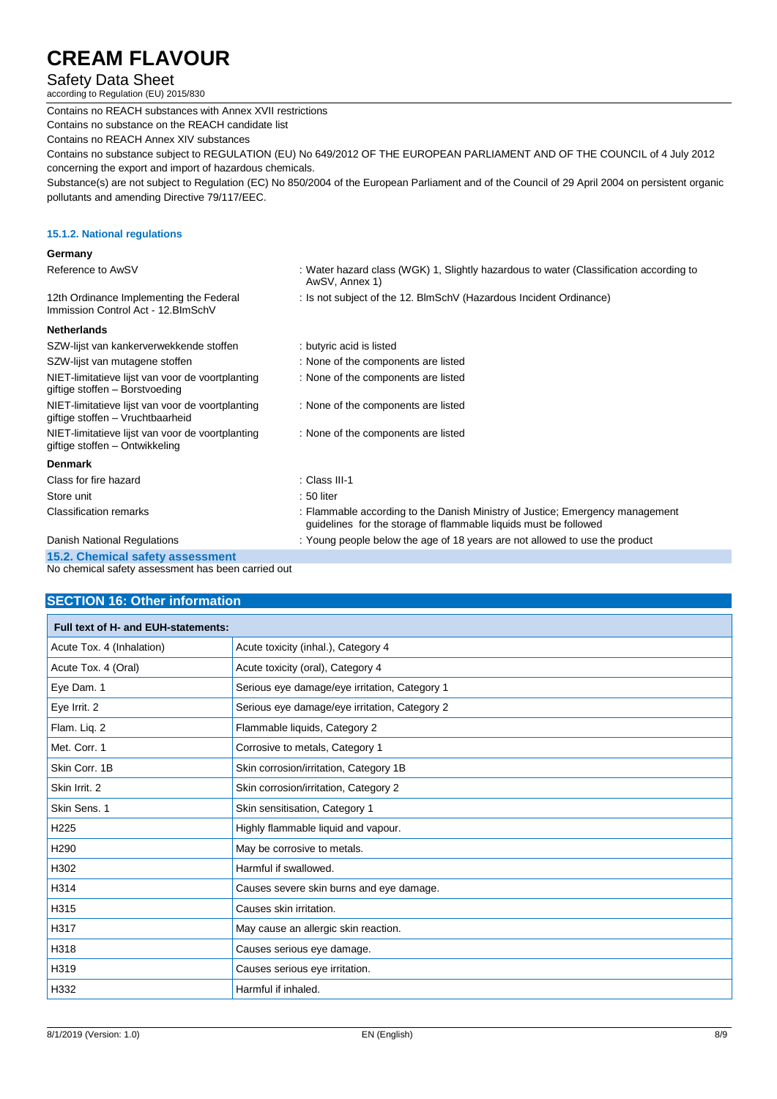### Safety Data Sheet

according to Regulation (EU) 2015/830

Contains no REACH substances with Annex XVII restrictions Contains no substance on the REACH candidate list Contains no REACH Annex XIV substances Contains no substance subject to REGULATION (EU) No 649/2012 OF THE EUROPEAN PARLIAMENT AND OF THE COUNCIL of 4 July 2012 concerning the export and import of hazardous chemicals. Substance(s) are not subject to Regulation (EC) No 850/2004 of the European Parliament and of the Council of 29 April 2004 on persistent organic pollutants and amending Directive 79/117/EEC. **15.1.2. National regulations Germany**

| Reference to AwSV                                                                    | : Water hazard class (WGK) 1, Slightly hazardous to water (Classification according to<br>AwSV, Annex 1)                                          |
|--------------------------------------------------------------------------------------|---------------------------------------------------------------------------------------------------------------------------------------------------|
| 12th Ordinance Implementing the Federal<br>Immission Control Act - 12. BlmSchV       | : Is not subject of the 12. BlmSchV (Hazardous Incident Ordinance)                                                                                |
| <b>Netherlands</b>                                                                   |                                                                                                                                                   |
| SZW-lijst van kankerverwekkende stoffen                                              | : butyric acid is listed                                                                                                                          |
| SZW-lijst van mutagene stoffen                                                       | : None of the components are listed                                                                                                               |
| NIET-limitatieve lijst van voor de voortplanting<br>giftige stoffen - Borstvoeding   | : None of the components are listed                                                                                                               |
| NIET-limitatieve lijst van voor de voortplanting<br>giftige stoffen - Vruchtbaarheid | : None of the components are listed                                                                                                               |
| NIET-limitatieve lijst van voor de voortplanting<br>giftige stoffen - Ontwikkeling   | : None of the components are listed                                                                                                               |
| <b>Denmark</b>                                                                       |                                                                                                                                                   |
| Class for fire hazard                                                                | : Class III-1                                                                                                                                     |
| Store unit                                                                           | $:50$ liter                                                                                                                                       |
| <b>Classification remarks</b>                                                        | : Flammable according to the Danish Ministry of Justice; Emergency management<br>guidelines for the storage of flammable liquids must be followed |
| Danish National Regulations                                                          | : Young people below the age of 18 years are not allowed to use the product                                                                       |
|                                                                                      |                                                                                                                                                   |

**15.2. Chemical safety assessment** No chemical safety assessment has been carried out

### **SECTION 16: Other information**

| Full text of H- and EUH-statements: |                                               |  |
|-------------------------------------|-----------------------------------------------|--|
| Acute Tox. 4 (Inhalation)           | Acute toxicity (inhal.), Category 4           |  |
| Acute Tox. 4 (Oral)                 | Acute toxicity (oral), Category 4             |  |
| Eye Dam. 1                          | Serious eye damage/eye irritation, Category 1 |  |
| Eye Irrit. 2                        | Serious eye damage/eye irritation, Category 2 |  |
| Flam. Liq. 2                        | Flammable liquids, Category 2                 |  |
| Met. Corr. 1                        | Corrosive to metals, Category 1               |  |
| Skin Corr. 1B                       | Skin corrosion/irritation, Category 1B        |  |
| Skin Irrit. 2                       | Skin corrosion/irritation, Category 2         |  |
| Skin Sens. 1                        | Skin sensitisation, Category 1                |  |
| H <sub>225</sub>                    | Highly flammable liquid and vapour.           |  |
| H <sub>290</sub>                    | May be corrosive to metals.                   |  |
| H302                                | Harmful if swallowed.                         |  |
| H314                                | Causes severe skin burns and eye damage.      |  |
| H315                                | Causes skin irritation.                       |  |
| H317                                | May cause an allergic skin reaction.          |  |
| H318                                | Causes serious eye damage.                    |  |
| H319                                | Causes serious eye irritation.                |  |
| H332                                | Harmful if inhaled.                           |  |